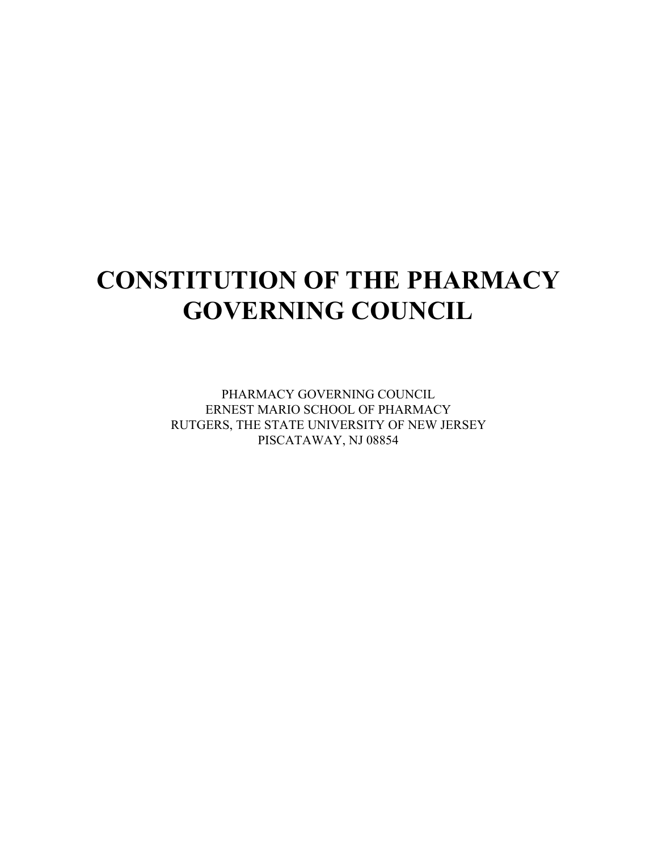# **CONSTITUTION OF THE PHARMACY GOVERNING COUNCIL**

PHARMACY GOVERNING COUNCIL ERNEST MARIO SCHOOL OF PHARMACY RUTGERS, THE STATE UNIVERSITY OF NEW JERSEY PISCATAWAY, NJ 08854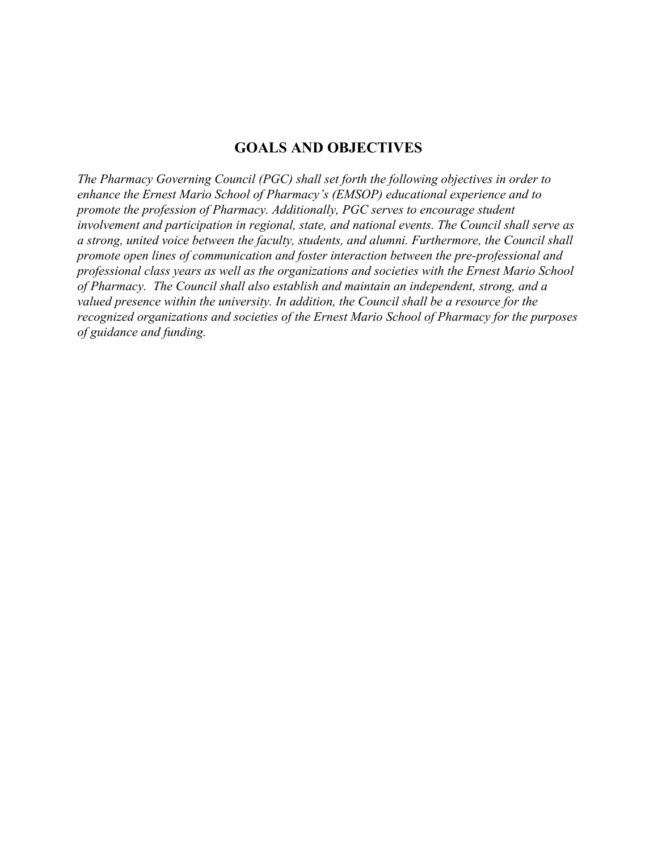#### **GOALS AND OBJECTIVES**

*The Pharmacy Governing Council (PGC) shall set forth the following objectives in order to enhance the Ernest Mario School of Pharmacy's (EMSOP) educational experience and to promote the profession of Pharmacy. Additionally, PGC serves to encourage student involvement and participation in regional, state, and national events. The Council shall serve as a strong, united voice between the faculty, students, and alumni. Furthermore, the Council shall promote open lines of communication and foster interaction between the pre-professional and professional class years as well as the organizations and societies with the Ernest Mario School of Pharmacy. The Council shall also establish and maintain an independent, strong, and a valued presence within the university. In addition, the Council shall be a resource for the recognized organizations and societies of the Ernest Mario School of Pharmacy for the purposes of guidance and funding.*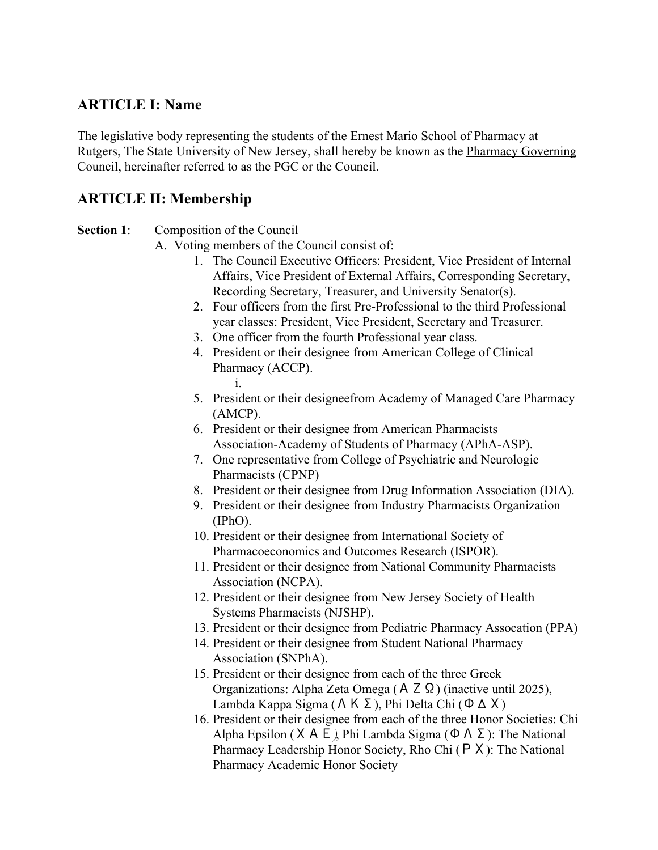## **ARTICLE I: Name**

The legislative body representing the students of the Ernest Mario School of Pharmacy at Rutgers, The State University of New Jersey, shall hereby be known as the Pharmacy Governing Council, hereinafter referred to as the PGC or the Council.

## **ARTICLE II: Membership**

#### **Section 1:** Composition of the Council

- A. Voting members of the Council consist of:
	- 1. The Council Executive Officers: President, Vice President of Internal Affairs, Vice President of External Affairs, Corresponding Secretary, Recording Secretary, Treasurer, and University Senator(s).
	- 2. Four officers from the first Pre-Professional to the third Professional year classes: President, Vice President, Secretary and Treasurer.
	- 3. One officer from the fourth Professional year class.
	- 4. President or their designee from American College of Clinical Pharmacy (ACCP). i.
	- 5. President or their designeefrom Academy of Managed Care Pharmacy (AMCP).
	- 6. President or their designee from American Pharmacists Association-Academy of Students of Pharmacy (APhA-ASP).
	- 7. One representative from College of Psychiatric and Neurologic Pharmacists (CPNP)
	- 8. President or their designee from Drug Information Association (DIA).
	- 9. President or their designee from Industry Pharmacists Organization (IPhO).
	- 10. President or their designee from International Society of Pharmacoeconomics and Outcomes Research (ISPOR).
	- 11. President or their designee from National Community Pharmacists Association (NCPA).
	- 12. President or their designee from New Jersey Society of Health Systems Pharmacists (NJSHP).
	- 13. President or their designee from Pediatric Pharmacy Assocation (PPA)
	- 14. President or their designee from Student National Pharmacy Association (SNPhA).
	- 15. President or their designee from each of the three Greek Organizations: Alpha Zeta Omega (ΑΖΩ) (inactive until 2025), Lambda Kappa Sigma (ΛΚΣ), Phi Delta Chi (ΦΔΧ)
	- 16. President or their designee from each of the three Honor Societies: Chi Alpha Epsilon (X A E), Phi Lambda Sigma (Φ  $\Lambda$  Σ): The National Pharmacy Leadership Honor Society, Rho Chi (ΡΧ): The National Pharmacy Academic Honor Society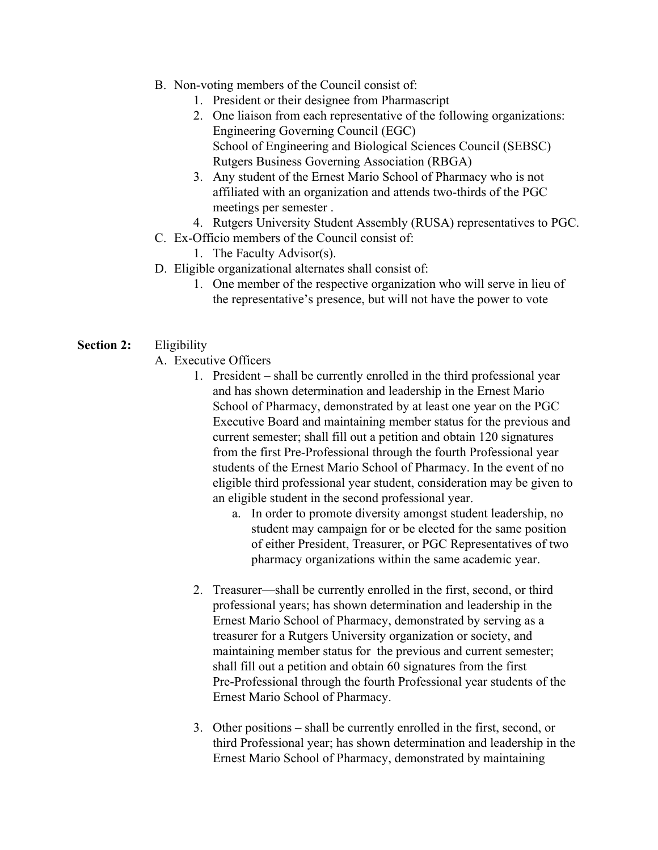- B. Non-voting members of the Council consist of:
	- 1. President or their designee from Pharmascript
	- 2. One liaison from each representative of the following organizations: Engineering Governing Council (EGC) School of Engineering and Biological Sciences Council (SEBSC) Rutgers Business Governing Association (RBGA)
	- 3. Any student of the Ernest Mario School of Pharmacy who is not affiliated with an organization and attends two-thirds of the PGC meetings per semester .
	- 4. Rutgers University Student Assembly (RUSA) representatives to PGC.
- C. Ex-Officio members of the Council consist of:
	- 1. The Faculty Advisor(s).
- D. Eligible organizational alternates shall consist of:
	- 1. One member of the respective organization who will serve in lieu of the representative's presence, but will not have the power to vote
- **Section 2:** Eligibility
	- A. Executive Officers
		- 1. President shall be currently enrolled in the third professional year and has shown determination and leadership in the Ernest Mario School of Pharmacy, demonstrated by at least one year on the PGC Executive Board and maintaining member status for the previous and current semester; shall fill out a petition and obtain 120 signatures from the first Pre-Professional through the fourth Professional year students of the Ernest Mario School of Pharmacy. In the event of no eligible third professional year student, consideration may be given to an eligible student in the second professional year.
			- a. In order to promote diversity amongst student leadership, no student may campaign for or be elected for the same position of either President, Treasurer, or PGC Representatives of two pharmacy organizations within the same academic year.
		- 2. Treasurer—shall be currently enrolled in the first, second, or third professional years; has shown determination and leadership in the Ernest Mario School of Pharmacy, demonstrated by serving as a treasurer for a Rutgers University organization or society, and maintaining member status for the previous and current semester; shall fill out a petition and obtain 60 signatures from the first Pre-Professional through the fourth Professional year students of the Ernest Mario School of Pharmacy.
		- 3. Other positions shall be currently enrolled in the first, second, or third Professional year; has shown determination and leadership in the Ernest Mario School of Pharmacy, demonstrated by maintaining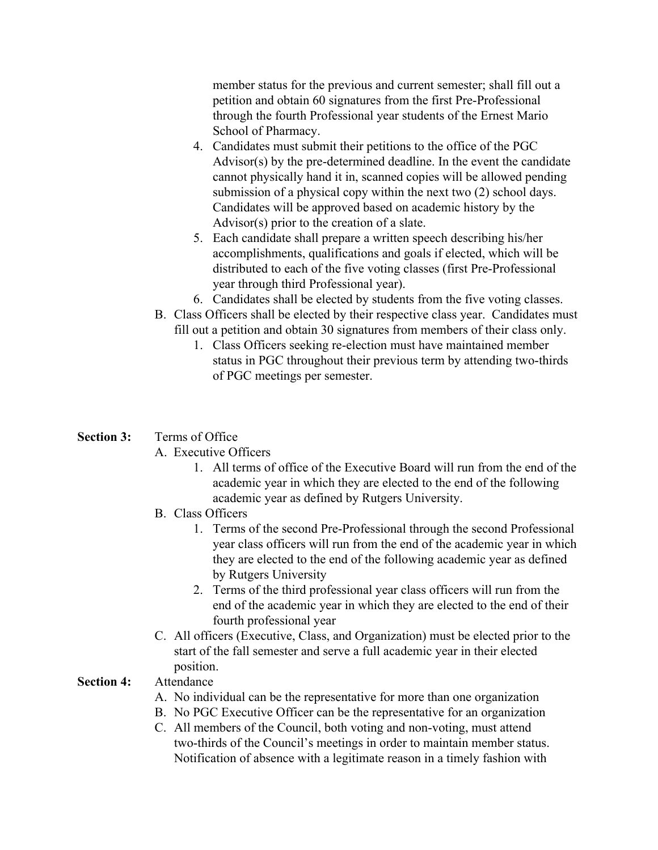member status for the previous and current semester; shall fill out a petition and obtain 60 signatures from the first Pre-Professional through the fourth Professional year students of the Ernest Mario School of Pharmacy.

- 4. Candidates must submit their petitions to the office of the PGC Advisor(s) by the pre-determined deadline. In the event the candidate cannot physically hand it in, scanned copies will be allowed pending submission of a physical copy within the next two (2) school days. Candidates will be approved based on academic history by the Advisor(s) prior to the creation of a slate.
- 5. Each candidate shall prepare a written speech describing his/her accomplishments, qualifications and goals if elected, which will be distributed to each of the five voting classes (first Pre-Professional year through third Professional year).
- 6. Candidates shall be elected by students from the five voting classes.
- B. Class Officers shall be elected by their respective class year. Candidates must fill out a petition and obtain 30 signatures from members of their class only.
	- 1. Class Officers seeking re-election must have maintained member status in PGC throughout their previous term by attending two-thirds of PGC meetings per semester.

#### **Section 3:** Terms of Office

#### A. Executive Officers

- 1. All terms of office of the Executive Board will run from the end of the academic year in which they are elected to the end of the following academic year as defined by Rutgers University.
- B. Class Officers
	- 1. Terms of the second Pre-Professional through the second Professional year class officers will run from the end of the academic year in which they are elected to the end of the following academic year as defined by Rutgers University
	- 2. Terms of the third professional year class officers will run from the end of the academic year in which they are elected to the end of their fourth professional year
- C. All officers (Executive, Class, and Organization) must be elected prior to the start of the fall semester and serve a full academic year in their elected position.

#### **Section 4:** Attendance

- A. No individual can be the representative for more than one organization
- B. No PGC Executive Officer can be the representative for an organization
- C. All members of the Council, both voting and non-voting, must attend two-thirds of the Council's meetings in order to maintain member status. Notification of absence with a legitimate reason in a timely fashion with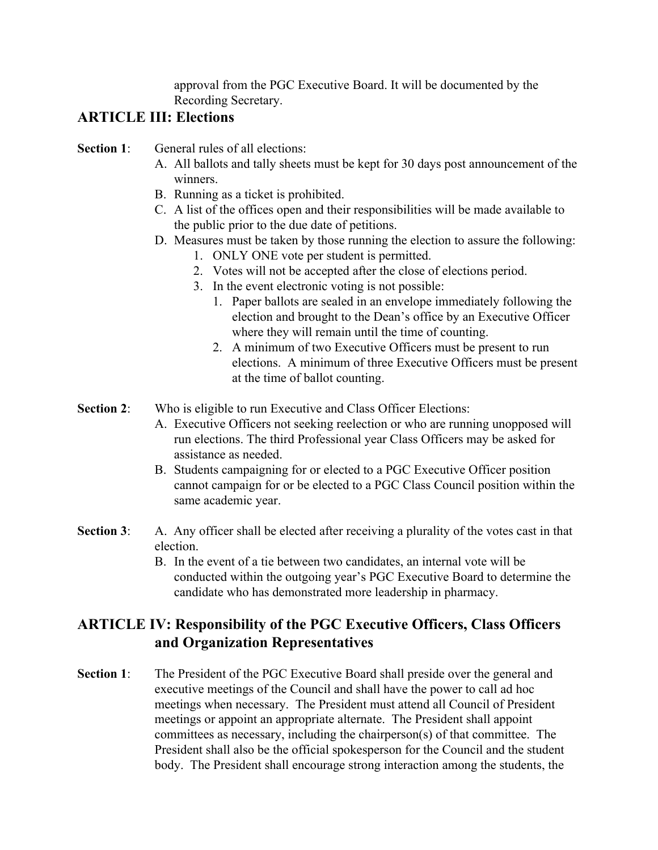approval from the PGC Executive Board. It will be documented by the Recording Secretary.

# **ARTICLE III: Elections**

- **Section 1:** General rules of all elections:
	- A. All ballots and tally sheets must be kept for 30 days post announcement of the winners.
	- B. Running as a ticket is prohibited.
	- C. A list of the offices open and their responsibilities will be made available to the public prior to the due date of petitions.
	- D. Measures must be taken by those running the election to assure the following:
		- 1. ONLY ONE vote per student is permitted.
		- 2. Votes will not be accepted after the close of elections period.
		- 3. In the event electronic voting is not possible:
			- 1. Paper ballots are sealed in an envelope immediately following the election and brought to the Dean's office by an Executive Officer where they will remain until the time of counting.
			- 2. A minimum of two Executive Officers must be present to run elections. A minimum of three Executive Officers must be present at the time of ballot counting.
- **Section 2:** Who is eligible to run Executive and Class Officer Elections:
	- A. Executive Officers not seeking reelection or who are running unopposed will run elections. The third Professional year Class Officers may be asked for assistance as needed.
	- B. Students campaigning for or elected to a PGC Executive Officer position cannot campaign for or be elected to a PGC Class Council position within the same academic year.
- **Section 3**: A. Any officer shall be elected after receiving a plurality of the votes cast in that election.
	- B. In the event of a tie between two candidates, an internal vote will be conducted within the outgoing year's PGC Executive Board to determine the candidate who has demonstrated more leadership in pharmacy.

# **ARTICLE IV: Responsibility of the PGC Executive Officers, Class Officers and Organization Representatives**

**Section 1:** The President of the PGC Executive Board shall preside over the general and executive meetings of the Council and shall have the power to call ad hoc meetings when necessary. The President must attend all Council of President meetings or appoint an appropriate alternate. The President shall appoint committees as necessary, including the chairperson(s) of that committee. The President shall also be the official spokesperson for the Council and the student body. The President shall encourage strong interaction among the students, the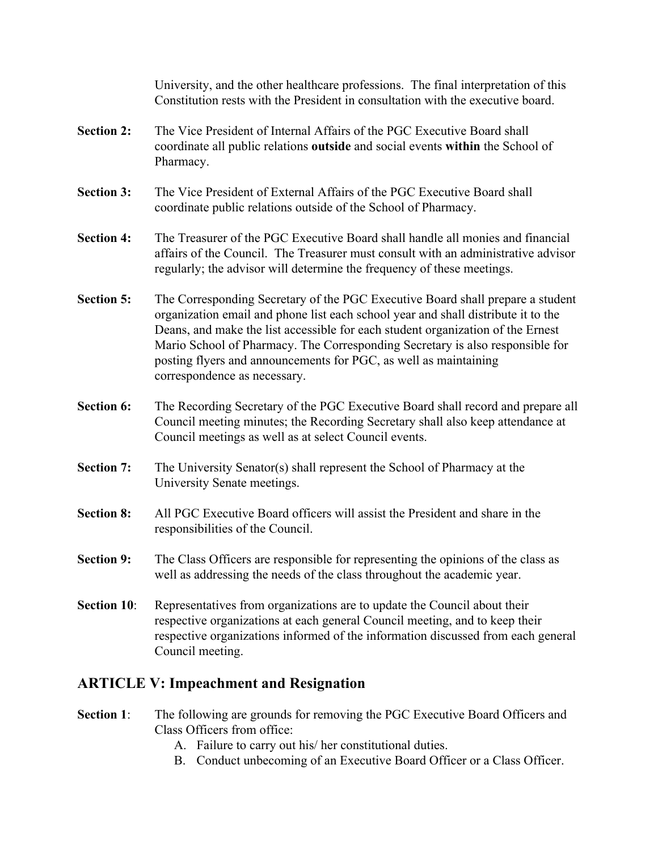University, and the other healthcare professions. The final interpretation of this Constitution rests with the President in consultation with the executive board.

- **Section 2:** The Vice President of Internal Affairs of the PGC Executive Board shall coordinate all public relations **outside** and social events **within** the School of Pharmacy.
- **Section 3:** The Vice President of External Affairs of the PGC Executive Board shall coordinate public relations outside of the School of Pharmacy.
- **Section 4:** The Treasurer of the PGC Executive Board shall handle all monies and financial affairs of the Council. The Treasurer must consult with an administrative advisor regularly; the advisor will determine the frequency of these meetings.
- **Section 5:** The Corresponding Secretary of the PGC Executive Board shall prepare a student organization email and phone list each school year and shall distribute it to the Deans, and make the list accessible for each student organization of the Ernest Mario School of Pharmacy. The Corresponding Secretary is also responsible for posting flyers and announcements for PGC, as well as maintaining correspondence as necessary.
- **Section 6:** The Recording Secretary of the PGC Executive Board shall record and prepare all Council meeting minutes; the Recording Secretary shall also keep attendance at Council meetings as well as at select Council events.
- **Section 7:** The University Senator(s) shall represent the School of Pharmacy at the University Senate meetings.
- **Section 8:** All PGC Executive Board officers will assist the President and share in the responsibilities of the Council.
- **Section 9:** The Class Officers are responsible for representing the opinions of the class as well as addressing the needs of the class throughout the academic year.
- **Section 10:** Representatives from organizations are to update the Council about their respective organizations at each general Council meeting, and to keep their respective organizations informed of the information discussed from each general Council meeting.

## **ARTICLE V: Impeachment and Resignation**

- **Section 1:** The following are grounds for removing the PGC Executive Board Officers and Class Officers from office:
	- A. Failure to carry out his/ her constitutional duties.
	- B. Conduct unbecoming of an Executive Board Officer or a Class Officer.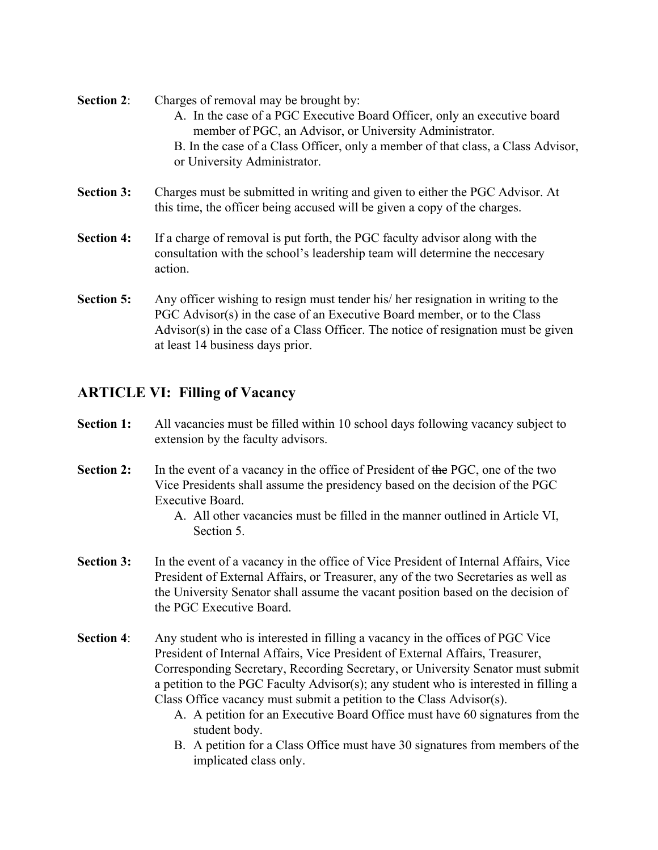- **Section 2:** Charges of removal may be brought by: A. In the case of a PGC Executive Board Officer, only an executive board member of PGC, an Advisor, or University Administrator. B. In the case of a Class Officer, only a member of that class, a Class Advisor, or University Administrator.
- **Section 3:** Charges must be submitted in writing and given to either the PGC Advisor. At this time, the officer being accused will be given a copy of the charges.
- **Section 4:** If a charge of removal is put forth, the PGC faculty advisor along with the consultation with the school's leadership team will determine the neccesary action.
- **Section 5:** Any officer wishing to resign must tender his/ her resignation in writing to the PGC Advisor(s) in the case of an Executive Board member, or to the Class Advisor(s) in the case of a Class Officer. The notice of resignation must be given at least 14 business days prior.

#### **ARTICLE VI: Filling of Vacancy**

- **Section 1:** All vacancies must be filled within 10 school days following vacancy subject to extension by the faculty advisors.
- **Section 2:** In the event of a vacancy in the office of President of the PGC, one of the two Vice Presidents shall assume the presidency based on the decision of the PGC Executive Board.
	- A. All other vacancies must be filled in the manner outlined in Article VI, Section 5.
- **Section 3:** In the event of a vacancy in the office of Vice President of Internal Affairs, Vice President of External Affairs, or Treasurer, any of the two Secretaries as well as the University Senator shall assume the vacant position based on the decision of the PGC Executive Board.
- **Section 4**: Any student who is interested in filling a vacancy in the offices of PGC Vice President of Internal Affairs, Vice President of External Affairs, Treasurer, Corresponding Secretary, Recording Secretary, or University Senator must submit a petition to the PGC Faculty Advisor(s); any student who is interested in filling a Class Office vacancy must submit a petition to the Class Advisor(s).
	- A. A petition for an Executive Board Office must have 60 signatures from the student body.
	- B. A petition for a Class Office must have 30 signatures from members of the implicated class only.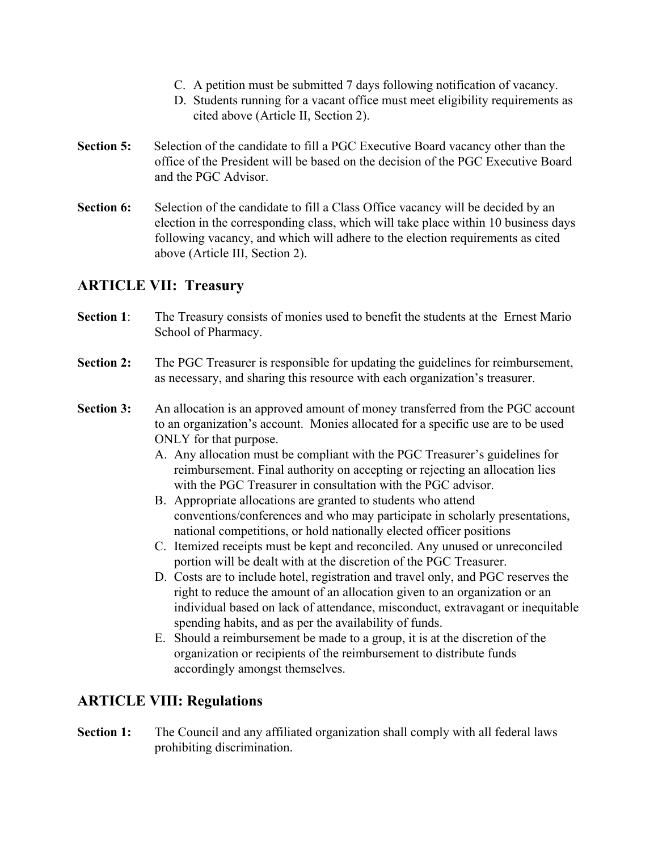- C. A petition must be submitted 7 days following notification of vacancy.
- D. Students running for a vacant office must meet eligibility requirements as cited above (Article II, Section 2).
- **Section 5:** Selection of the candidate to fill a PGC Executive Board vacancy other than the office of the President will be based on the decision of the PGC Executive Board and the PGC Advisor.
- **Section 6:** Selection of the candidate to fill a Class Office vacancy will be decided by an election in the corresponding class, which will take place within 10 business days following vacancy, and which will adhere to the election requirements as cited above (Article III, Section 2).

## **ARTICLE VII: Treasury**

- **Section 1:** The Treasury consists of monies used to benefit the students at the Ernest Mario School of Pharmacy.
- **Section 2:** The PGC Treasurer is responsible for updating the guidelines for reimbursement, as necessary, and sharing this resource with each organization's treasurer.
- **Section 3:** An allocation is an approved amount of money transferred from the PGC account to an organization's account. Monies allocated for a specific use are to be used ONLY for that purpose.
	- A. Any allocation must be compliant with the PGC Treasurer's guidelines for reimbursement. Final authority on accepting or rejecting an allocation lies with the PGC Treasurer in consultation with the PGC advisor.
	- B. Appropriate allocations are granted to students who attend conventions/conferences and who may participate in scholarly presentations, national competitions, or hold nationally elected officer positions
	- C. Itemized receipts must be kept and reconciled. Any unused or unreconciled portion will be dealt with at the discretion of the PGC Treasurer.
	- D. Costs are to include hotel, registration and travel only, and PGC reserves the right to reduce the amount of an allocation given to an organization or an individual based on lack of attendance, misconduct, extravagant or inequitable spending habits, and as per the availability of funds.
	- E. Should a reimbursement be made to a group, it is at the discretion of the organization or recipients of the reimbursement to distribute funds accordingly amongst themselves.

## **ARTICLE VIII: Regulations**

**Section 1:** The Council and any affiliated organization shall comply with all federal laws prohibiting discrimination.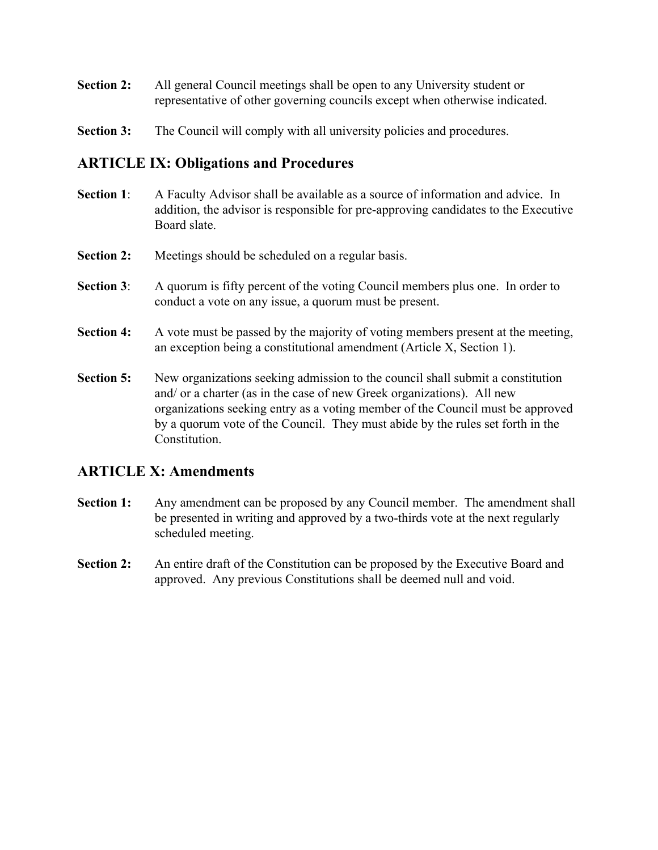- **Section 2:** All general Council meetings shall be open to any University student or representative of other governing councils except when otherwise indicated.
- **Section 3:** The Council will comply with all university policies and procedures.

#### **ARTICLE IX: Obligations and Procedures**

- **Section 1:** A Faculty Advisor shall be available as a source of information and advice. In addition, the advisor is responsible for pre-approving candidates to the Executive Board slate.
- **Section 2:** Meetings should be scheduled on a regular basis.
- **Section 3**: A quorum is fifty percent of the voting Council members plus one. In order to conduct a vote on any issue, a quorum must be present.
- **Section 4:** A vote must be passed by the majority of voting members present at the meeting, an exception being a constitutional amendment (Article X, Section 1).
- **Section 5:** New organizations seeking admission to the council shall submit a constitution and/ or a charter (as in the case of new Greek organizations). All new organizations seeking entry as a voting member of the Council must be approved by a quorum vote of the Council. They must abide by the rules set forth in the **Constitution**

## **ARTICLE X: Amendments**

- **Section 1:** Any amendment can be proposed by any Council member. The amendment shall be presented in writing and approved by a two-thirds vote at the next regularly scheduled meeting.
- **Section 2:** An entire draft of the Constitution can be proposed by the Executive Board and approved. Any previous Constitutions shall be deemed null and void.